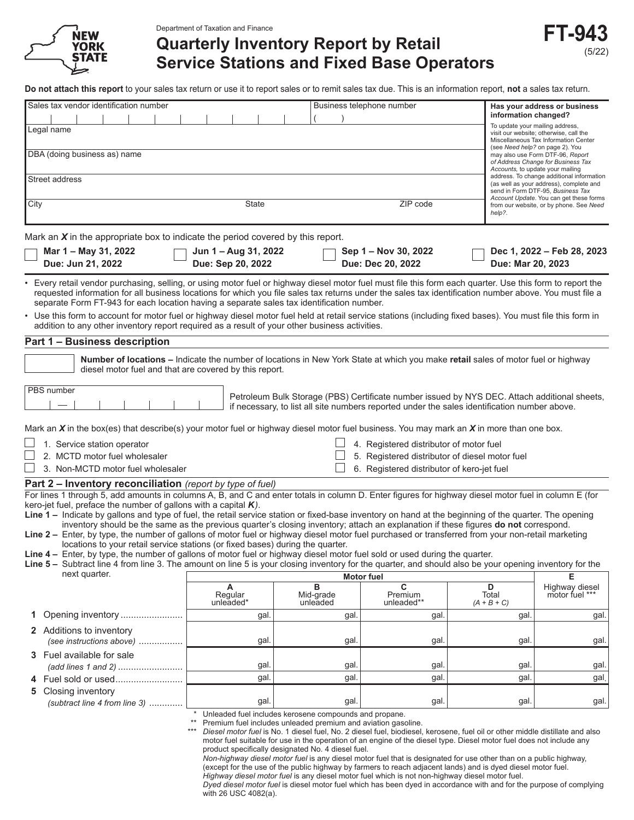

Department of Taxation and Finance

# **Quarterly Inventory Report by Retail Service Stations and Fixed Base Operators**

**Do not attach this report** to your sales tax return or use it to report sales or to remit sales tax due. This is an information report, **not** a sales tax return.

| Sales tax vendor identification number                                                                                                                                                                                                                                                                                                                                                                           |                                           |                                                                                                                     | Business telephone number                                                                                                                                                                                                                                                                                                                                                 | information changed?        | Has your address or business                                                                                                                         |
|------------------------------------------------------------------------------------------------------------------------------------------------------------------------------------------------------------------------------------------------------------------------------------------------------------------------------------------------------------------------------------------------------------------|-------------------------------------------|---------------------------------------------------------------------------------------------------------------------|---------------------------------------------------------------------------------------------------------------------------------------------------------------------------------------------------------------------------------------------------------------------------------------------------------------------------------------------------------------------------|-----------------------------|------------------------------------------------------------------------------------------------------------------------------------------------------|
| Legal name                                                                                                                                                                                                                                                                                                                                                                                                       |                                           |                                                                                                                     |                                                                                                                                                                                                                                                                                                                                                                           |                             | To update your mailing address,<br>visit our website; otherwise, call the<br>Miscellaneous Tax Information Center<br>(see Need help? on page 2). You |
| DBA (doing business as) name                                                                                                                                                                                                                                                                                                                                                                                     |                                           |                                                                                                                     |                                                                                                                                                                                                                                                                                                                                                                           |                             | may also use Form DTF-96, Report<br>of Address Change for Business Tax<br>Accounts, to update your mailing                                           |
| Street address                                                                                                                                                                                                                                                                                                                                                                                                   |                                           |                                                                                                                     |                                                                                                                                                                                                                                                                                                                                                                           |                             | address. To change additional information<br>(as well as your address), complete and<br>send in Form DTF-95, Business Tax                            |
| City                                                                                                                                                                                                                                                                                                                                                                                                             | State                                     |                                                                                                                     | ZIP code                                                                                                                                                                                                                                                                                                                                                                  |                             | Account Update. You can get these forms<br>from our website, or by phone. See Need                                                                   |
|                                                                                                                                                                                                                                                                                                                                                                                                                  |                                           |                                                                                                                     |                                                                                                                                                                                                                                                                                                                                                                           | help?.                      |                                                                                                                                                      |
| Mark an $X$ in the appropriate box to indicate the period covered by this report.                                                                                                                                                                                                                                                                                                                                |                                           |                                                                                                                     |                                                                                                                                                                                                                                                                                                                                                                           |                             |                                                                                                                                                      |
| Mar 1 - May 31, 2022<br>Due: Jun 21, 2022                                                                                                                                                                                                                                                                                                                                                                        | Jun 1 – Aug 31, 2022<br>Due: Sep 20, 2022 |                                                                                                                     | Sep 1 - Nov 30, 2022<br>Due: Dec 20, 2022                                                                                                                                                                                                                                                                                                                                 | Due: Mar 20, 2023           | Dec 1, 2022 - Feb 28, 2023                                                                                                                           |
| • Every retail vendor purchasing, selling, or using motor fuel or highway diesel motor fuel must file this form each quarter. Use this form to report the<br>requested information for all business locations for which you file sales tax returns under the sales tax identification number above. You must file a<br>separate Form FT-943 for each location having a separate sales tax identification number. |                                           |                                                                                                                     |                                                                                                                                                                                                                                                                                                                                                                           |                             |                                                                                                                                                      |
| • Use this form to account for motor fuel or highway diesel motor fuel held at retail service stations (including fixed bases). You must file this form in<br>addition to any other inventory report required as a result of your other business activities.                                                                                                                                                     |                                           |                                                                                                                     |                                                                                                                                                                                                                                                                                                                                                                           |                             |                                                                                                                                                      |
| Part 1 - Business description                                                                                                                                                                                                                                                                                                                                                                                    |                                           |                                                                                                                     |                                                                                                                                                                                                                                                                                                                                                                           |                             |                                                                                                                                                      |
| Number of locations – Indicate the number of locations in New York State at which you make retail sales of motor fuel or highway<br>diesel motor fuel and that are covered by this report.                                                                                                                                                                                                                       |                                           |                                                                                                                     |                                                                                                                                                                                                                                                                                                                                                                           |                             |                                                                                                                                                      |
| PBS number                                                                                                                                                                                                                                                                                                                                                                                                       |                                           |                                                                                                                     |                                                                                                                                                                                                                                                                                                                                                                           |                             |                                                                                                                                                      |
|                                                                                                                                                                                                                                                                                                                                                                                                                  |                                           |                                                                                                                     | Petroleum Bulk Storage (PBS) Certificate number issued by NYS DEC. Attach additional sheets,<br>if necessary, to list all site numbers reported under the sales identification number above.                                                                                                                                                                              |                             |                                                                                                                                                      |
| Mark an $X$ in the box(es) that describe(s) your motor fuel or highway diesel motor fuel business. You may mark an $X$ in more than one box.                                                                                                                                                                                                                                                                     |                                           |                                                                                                                     |                                                                                                                                                                                                                                                                                                                                                                           |                             |                                                                                                                                                      |
| 1. Service station operator                                                                                                                                                                                                                                                                                                                                                                                      |                                           |                                                                                                                     | 4. Registered distributor of motor fuel                                                                                                                                                                                                                                                                                                                                   |                             |                                                                                                                                                      |
| 2. MCTD motor fuel wholesaler                                                                                                                                                                                                                                                                                                                                                                                    |                                           |                                                                                                                     | 5. Registered distributor of diesel motor fuel                                                                                                                                                                                                                                                                                                                            |                             |                                                                                                                                                      |
| 3. Non-MCTD motor fuel wholesaler                                                                                                                                                                                                                                                                                                                                                                                |                                           |                                                                                                                     | 6. Registered distributor of kero-jet fuel                                                                                                                                                                                                                                                                                                                                |                             |                                                                                                                                                      |
| <b>Part 2 – Inventory reconciliation</b> (report by type of fuel)                                                                                                                                                                                                                                                                                                                                                |                                           |                                                                                                                     |                                                                                                                                                                                                                                                                                                                                                                           |                             |                                                                                                                                                      |
| For lines 1 through 5, add amounts in columns A, B, and C and enter totals in column D. Enter figures for highway diesel motor fuel in column E (for                                                                                                                                                                                                                                                             |                                           |                                                                                                                     |                                                                                                                                                                                                                                                                                                                                                                           |                             |                                                                                                                                                      |
| kero-jet fuel, preface the number of gallons with a capital $K$ ).<br>Line 1 – Indicate by gallons and type of fuel, the retail service station or fixed-base inventory on hand at the beginning of the quarter. The opening                                                                                                                                                                                     |                                           |                                                                                                                     |                                                                                                                                                                                                                                                                                                                                                                           |                             |                                                                                                                                                      |
| inventory should be the same as the previous quarter's closing inventory; attach an explanation if these figures do not correspond.                                                                                                                                                                                                                                                                              |                                           |                                                                                                                     |                                                                                                                                                                                                                                                                                                                                                                           |                             |                                                                                                                                                      |
| Line 2 - Enter, by type, the number of gallons of motor fuel or highway diesel motor fuel purchased or transferred from your non-retail marketing                                                                                                                                                                                                                                                                |                                           |                                                                                                                     |                                                                                                                                                                                                                                                                                                                                                                           |                             |                                                                                                                                                      |
| locations to your retail service stations (or fixed bases) during the quarter.<br>Line 4 - Enter, by type, the number of gallons of motor fuel or highway diesel motor fuel sold or used during the quarter.                                                                                                                                                                                                     |                                           |                                                                                                                     |                                                                                                                                                                                                                                                                                                                                                                           |                             |                                                                                                                                                      |
| Line 5 - Subtract line 4 from line 3. The amount on line 5 is your closing inventory for the quarter, and should also be your opening inventory for the                                                                                                                                                                                                                                                          |                                           |                                                                                                                     |                                                                                                                                                                                                                                                                                                                                                                           |                             |                                                                                                                                                      |
| next quarter.                                                                                                                                                                                                                                                                                                                                                                                                    |                                           | <b>Motor fuel</b>                                                                                                   |                                                                                                                                                                                                                                                                                                                                                                           |                             | Е                                                                                                                                                    |
|                                                                                                                                                                                                                                                                                                                                                                                                                  | Α<br>Regular<br>unleaded*                 | в<br>Mid-grade<br>unleaded                                                                                          | C<br>Premium<br>unleaded**                                                                                                                                                                                                                                                                                                                                                | D<br>Total<br>$(A + B + C)$ | Highway diesel<br>motor fuel ***                                                                                                                     |
| Opening inventory                                                                                                                                                                                                                                                                                                                                                                                                | gal.                                      | gal.                                                                                                                | gal.                                                                                                                                                                                                                                                                                                                                                                      | gal                         | gal.                                                                                                                                                 |
| 2 Additions to inventory<br>(see instructions above)                                                                                                                                                                                                                                                                                                                                                             | gal.                                      | gal                                                                                                                 | gal.                                                                                                                                                                                                                                                                                                                                                                      | gal                         | gal.                                                                                                                                                 |
| 3 Fuel available for sale                                                                                                                                                                                                                                                                                                                                                                                        |                                           |                                                                                                                     |                                                                                                                                                                                                                                                                                                                                                                           |                             |                                                                                                                                                      |
|                                                                                                                                                                                                                                                                                                                                                                                                                  | gal.                                      | gal                                                                                                                 | gal.                                                                                                                                                                                                                                                                                                                                                                      | gal                         | gal.                                                                                                                                                 |
|                                                                                                                                                                                                                                                                                                                                                                                                                  | gal.                                      | gal.                                                                                                                | gal.                                                                                                                                                                                                                                                                                                                                                                      | gal                         | gal.                                                                                                                                                 |
| Closing inventory<br>5<br>(subtract line 4 from line 3)                                                                                                                                                                                                                                                                                                                                                          | gal.                                      | gal                                                                                                                 | gal.                                                                                                                                                                                                                                                                                                                                                                      | gal                         | gal.                                                                                                                                                 |
|                                                                                                                                                                                                                                                                                                                                                                                                                  |                                           | Unleaded fuel includes kerosene compounds and propane.                                                              |                                                                                                                                                                                                                                                                                                                                                                           |                             |                                                                                                                                                      |
|                                                                                                                                                                                                                                                                                                                                                                                                                  | $**$<br>$***$                             | Premium fuel includes unleaded premium and aviation gasoline.<br>product specifically designated No. 4 diesel fuel. | Diesel motor fuel is No. 1 diesel fuel, No. 2 diesel fuel, biodiesel, kerosene, fuel oil or other middle distillate and also<br>motor fuel suitable for use in the operation of an engine of the diesel type. Diesel motor fuel does not include any<br>Non-highway diesel motor fuel is any diesel motor fuel that is designated for use other than on a public highway, |                             |                                                                                                                                                      |

(except for the use of the public highway by farmers to reach adjacent lands) and is dyed diesel motor fuel. *Highway diesel motor fuel* is any diesel motor fuel which is not non-highway diesel motor fuel.

 *Dyed diesel motor fuel* is diesel motor fuel which has been dyed in accordance with and for the purpose of complying with 26 USC 4082(a).